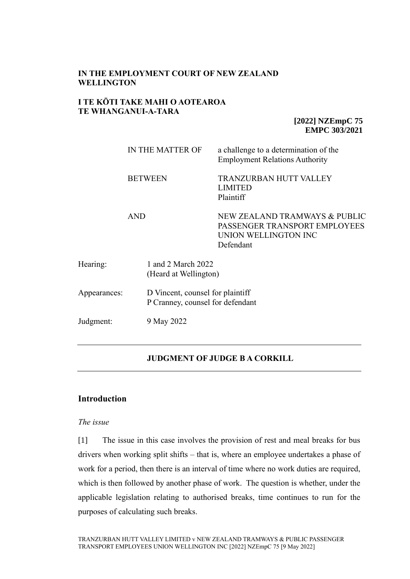# **IN THE EMPLOYMENT COURT OF NEW ZEALAND WELLINGTON**

# **I TE KŌTI TAKE MAHI O AOTEAROA TE WHANGANUI-A-TARA**

**[2022] NZEmpC 75 EMPC 303/2021**

|              | IN THE MATTER OF                                                     | a challenge to a determination of the<br><b>Employment Relations Authority</b>                      |
|--------------|----------------------------------------------------------------------|-----------------------------------------------------------------------------------------------------|
|              | <b>BETWEEN</b>                                                       | TRANZURBAN HUTT VALLEY<br><b>LIMITED</b><br>Plaintiff                                               |
|              | <b>AND</b>                                                           | NEW ZEALAND TRAMWAYS & PUBLIC<br>PASSENGER TRANSPORT EMPLOYEES<br>UNION WELLINGTON INC<br>Defendant |
| Hearing:     | 1 and 2 March 2022<br>(Heard at Wellington)                          |                                                                                                     |
| Appearances: | D Vincent, counsel for plaintiff<br>P Cranney, counsel for defendant |                                                                                                     |
| Judgment:    | 9 May 2022                                                           |                                                                                                     |

# **JUDGMENT OF JUDGE B A CORKILL**

# **Introduction**

### *The issue*

[1] The issue in this case involves the provision of rest and meal breaks for bus drivers when working split shifts – that is, where an employee undertakes a phase of work for a period, then there is an interval of time where no work duties are required, which is then followed by another phase of work. The question is whether, under the applicable legislation relating to authorised breaks, time continues to run for the purposes of calculating such breaks.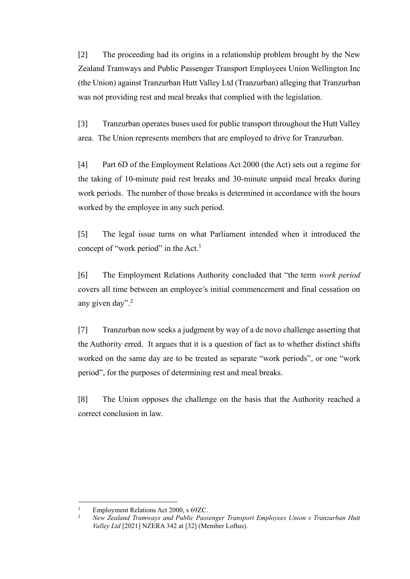[2] The proceeding had its origins in a relationship problem brought by the New Zealand Tramways and Public Passenger Transport Employees Union Wellington Inc (the Union) against Tranzurban Hutt Valley Ltd (Tranzurban) alleging that Tranzurban was not providing rest and meal breaks that complied with the legislation.

[3] Tranzurban operates buses used for public transport throughout the Hutt Valley area. The Union represents members that are employed to drive for Tranzurban.

[4] Part 6D of the Employment Relations Act 2000 (the Act) sets out a regime for the taking of 10-minute paid rest breaks and 30-minute unpaid meal breaks during work periods. The number of those breaks is determined in accordance with the hours worked by the employee in any such period.

[5] The legal issue turns on what Parliament intended when it introduced the concept of "work period" in the Act.<sup>1</sup>

[6] The Employment Relations Authority concluded that "the term *work period* covers all time between an employee's initial commencement and final cessation on any given day".<sup>2</sup>

[7] Tranzurban now seeks a judgment by way of a de novo challenge asserting that the Authority erred. It argues that it is a question of fact as to whether distinct shifts worked on the same day are to be treated as separate "work periods", or one "work period", for the purposes of determining rest and meal breaks.

[8] The Union opposes the challenge on the basis that the Authority reached a correct conclusion in law.

<sup>&</sup>lt;sup>1</sup> Employment Relations Act 2000, s 69ZC.<br><sup>2</sup> Nav Zealand Tramyays and Public Pass.

<sup>2</sup> *New Zealand Tramways and Public Passenger Transport Employees Union v Tranzurban Hutt Valley Ltd* [2021] NZERA 342 at [32] (Member Loftus).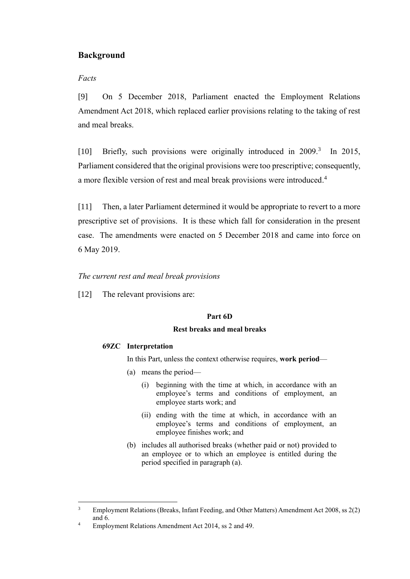# **Background**

# *Facts*

[9] On 5 December 2018, Parliament enacted the Employment Relations Amendment Act 2018, which replaced earlier provisions relating to the taking of rest and meal breaks.

[10] Briefly, such provisions were originally introduced in 2009.<sup>3</sup> In 2015, Parliament considered that the original provisions were too prescriptive; consequently, a more flexible version of rest and meal break provisions were introduced.<sup>4</sup>

[11] Then, a later Parliament determined it would be appropriate to revert to a more prescriptive set of provisions. It is these which fall for consideration in the present case. The amendments were enacted on 5 December 2018 and came into force on 6 May 2019.

## *The current rest and meal break provisions*

[12] The relevant provisions are:

## **Part 6D**

### **Rest breaks and meal breaks**

## **69ZC Interpretation**

In this Part, unless the context otherwise requires, **work period**—

- (a) means the period—
	- (i) beginning with the time at which, in accordance with an employee's terms and conditions of employment, an employee starts work; and
	- (ii) ending with the time at which, in accordance with an employee's terms and conditions of employment, an employee finishes work; and
- (b) includes all authorised breaks (whether paid or not) provided to an employee or to which an employee is entitled during the period specified in paragraph (a).

<sup>&</sup>lt;sup>3</sup> Employment Relations (Breaks, Infant Feeding, and Other Matters) Amendment Act 2008, ss 2(2) and 6.

<sup>&</sup>lt;sup>4</sup> Employment Relations Amendment Act 2014, ss 2 and 49.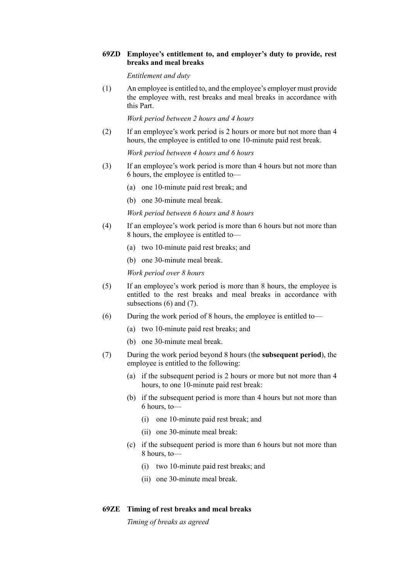#### **69ZD Employee's entitlement to, and employer's duty to provide, rest breaks and meal breaks**

*Entitlement and duty*

(1) An employee is entitled to, and the employee's employer must provide the employee with, rest breaks and meal breaks in accordance with this Part.

*Work period between 2 hours and 4 hours*

(2) If an employee's work period is 2 hours or more but not more than 4 hours, the employee is entitled to one 10-minute paid rest break.

*Work period between 4 hours and 6 hours*

- (3) If an employee's work period is more than 4 hours but not more than 6 hours, the employee is entitled to—
	- (a) one 10-minute paid rest break; and
	- (b) one 30-minute meal break.

*Work period between 6 hours and 8 hours*

- (4) If an employee's work period is more than 6 hours but not more than 8 hours, the employee is entitled to—
	- (a) two 10-minute paid rest breaks; and
	- (b) one 30-minute meal break.

*Work period over 8 hours*

- (5) If an employee's work period is more than 8 hours, the employee is entitled to the rest breaks and meal breaks in accordance with subsections (6) and (7).
- (6) During the work period of 8 hours, the employee is entitled to—
	- (a) two 10-minute paid rest breaks; and
	- (b) one 30-minute meal break.
- (7) During the work period beyond 8 hours (the **subsequent period**), the employee is entitled to the following:
	- (a) if the subsequent period is 2 hours or more but not more than 4 hours, to one 10-minute paid rest break:
	- (b) if the subsequent period is more than 4 hours but not more than 6 hours, to—
		- (i) one 10-minute paid rest break; and
		- (ii) one 30-minute meal break:
	- (c) if the subsequent period is more than 6 hours but not more than 8 hours, to—
		- (i) two 10-minute paid rest breaks; and
		- (ii) one 30-minute meal break.

### **69ZE Timing of rest breaks and meal breaks**

*Timing of breaks as agreed*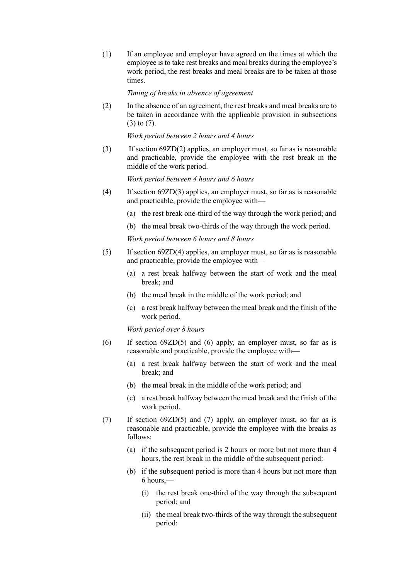(1) If an employee and employer have agreed on the times at which the employee is to take rest breaks and meal breaks during the employee's work period, the rest breaks and meal breaks are to be taken at those times.

#### *Timing of breaks in absence of agreement*

(2) In the absence of an agreement, the rest breaks and meal breaks are to be taken in accordance with the applicable provision in subsections (3) to (7).

*Work period between 2 hours and 4 hours*

(3) If section 69ZD(2) applies, an employer must, so far as is reasonable and practicable, provide the employee with the rest break in the middle of the work period.

*Work period between 4 hours and 6 hours*

- (4) If section 69ZD(3) applies, an employer must, so far as is reasonable and practicable, provide the employee with—
	- (a) the rest break one-third of the way through the work period; and
	- (b) the meal break two-thirds of the way through the work period.

*Work period between 6 hours and 8 hours*

- (5) If section 69ZD(4) applies, an employer must, so far as is reasonable and practicable, provide the employee with—
	- (a) a rest break halfway between the start of work and the meal break; and
	- (b) the meal break in the middle of the work period; and
	- (c) a rest break halfway between the meal break and the finish of the work period.

*Work period over 8 hours*

- (6) If section 69ZD(5) and (6) apply, an employer must, so far as is reasonable and practicable, provide the employee with—
	- (a) a rest break halfway between the start of work and the meal break; and
	- (b) the meal break in the middle of the work period; and
	- (c) a rest break halfway between the meal break and the finish of the work period.
- (7) If section 69ZD(5) and (7) apply, an employer must, so far as is reasonable and practicable, provide the employee with the breaks as follows:
	- (a) if the subsequent period is 2 hours or more but not more than 4 hours, the rest break in the middle of the subsequent period:
	- (b) if the subsequent period is more than 4 hours but not more than 6 hours,—
		- (i) the rest break one-third of the way through the subsequent period; and
		- (ii) the meal break two-thirds of the way through the subsequent period: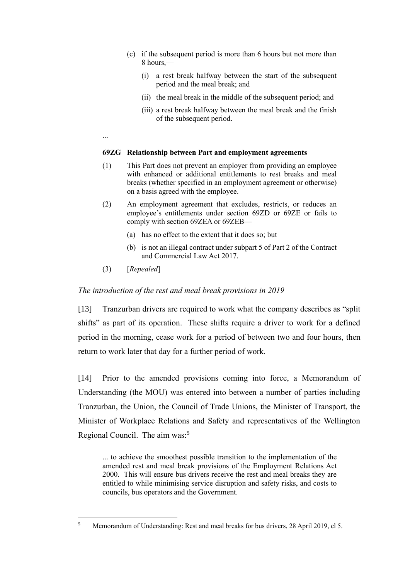- (c) if the subsequent period is more than 6 hours but not more than 8 hours,—
	- (i) a rest break halfway between the start of the subsequent period and the meal break; and
	- (ii) the meal break in the middle of the subsequent period; and
	- (iii) a rest break halfway between the meal break and the finish of the subsequent period.
- ...

#### **69ZG Relationship between Part and employment agreements**

- (1) This Part does not prevent an employer from providing an employee with enhanced or additional entitlements to rest breaks and meal breaks (whether specified in an employment agreement or otherwise) on a basis agreed with the employee.
- (2) An employment agreement that excludes, restricts, or reduces an employee's entitlements under [section 69ZD](https://www.legislation.govt.nz/act/public/2000/0024/latest/link.aspx?id=DLM1940671#DLM1940671) or [69ZE](https://www.legislation.govt.nz/act/public/2000/0024/latest/link.aspx?id=DLM1940672#DLM1940672) or fails to comply with [section 69ZEA](https://www.legislation.govt.nz/act/public/2000/0024/latest/link.aspx?id=DLM6405981#DLM6405981) o[r 69ZEB—](https://www.legislation.govt.nz/act/public/2000/0024/latest/link.aspx?id=DLM6408405#DLM6408405)
	- (a) has no effect to the extent that it does so; but
	- (b) is not an illegal contract under [subpart 5](https://www.legislation.govt.nz/act/public/2000/0024/latest/link.aspx?id=DLM6844158#DLM6844158) of Part 2 of the Contract and Commercial Law Act 2017.
- (3) [*Repealed*]

### *The introduction of the rest and meal break provisions in 2019*

[13] Tranzurban drivers are required to work what the company describes as "split shifts" as part of its operation. These shifts require a driver to work for a defined period in the morning, cease work for a period of between two and four hours, then return to work later that day for a further period of work.

[14] Prior to the amended provisions coming into force, a Memorandum of Understanding (the MOU) was entered into between a number of parties including Tranzurban, the Union, the Council of Trade Unions, the Minister of Transport, the Minister of Workplace Relations and Safety and representatives of the Wellington Regional Council. The aim was:<sup>5</sup>

... to achieve the smoothest possible transition to the implementation of the amended rest and meal break provisions of the Employment Relations Act 2000. This will ensure bus drivers receive the rest and meal breaks they are entitled to while minimising service disruption and safety risks, and costs to councils, bus operators and the Government.

<sup>5</sup> Memorandum of Understanding: Rest and meal breaks for bus drivers, 28 April 2019, cl 5.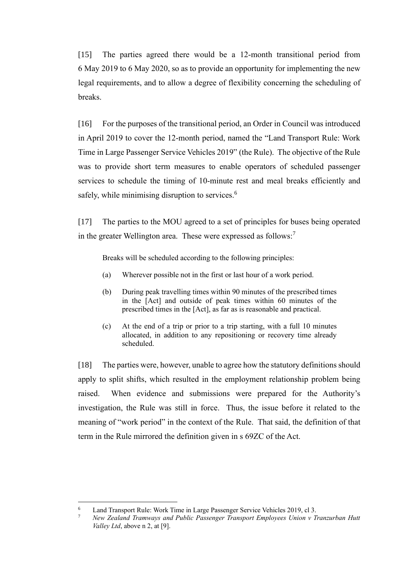[15] The parties agreed there would be a 12-month transitional period from 6 May 2019 to 6 May 2020, so as to provide an opportunity for implementing the new legal requirements, and to allow a degree of flexibility concerning the scheduling of breaks.

[16] For the purposes of the transitional period, an Order in Council was introduced in April 2019 to cover the 12-month period, named the "Land Transport Rule: Work Time in Large Passenger Service Vehicles 2019" (the Rule). The objective of the Rule was to provide short term measures to enable operators of scheduled passenger services to schedule the timing of 10-minute rest and meal breaks efficiently and safely, while minimising disruption to services.<sup>6</sup>

[17] The parties to the MOU agreed to a set of principles for buses being operated in the greater Wellington area. These were expressed as follows:<sup>7</sup>

Breaks will be scheduled according to the following principles:

- (a) Wherever possible not in the first or last hour of a work period.
- (b) During peak travelling times within 90 minutes of the prescribed times in the [Act] and outside of peak times within 60 minutes of the prescribed times in the [Act], as far as is reasonable and practical.
- (c) At the end of a trip or prior to a trip starting, with a full 10 minutes allocated, in addition to any repositioning or recovery time already scheduled.

[18] The parties were, however, unable to agree how the statutory definitions should apply to split shifts, which resulted in the employment relationship problem being raised. When evidence and submissions were prepared for the Authority's investigation, the Rule was still in force. Thus, the issue before it related to the meaning of "work period" in the context of the Rule. That said, the definition of that term in the Rule mirrored the definition given in s 69ZC of the Act.

<sup>&</sup>lt;sup>6</sup> Land Transport Rule: Work Time in Large Passenger Service Vehicles 2019, cl 3.

<sup>7</sup> *New Zealand Tramways and Public Passenger Transport Employees Union v Tranzurban Hutt Valley Ltd*, above n 2, at [9].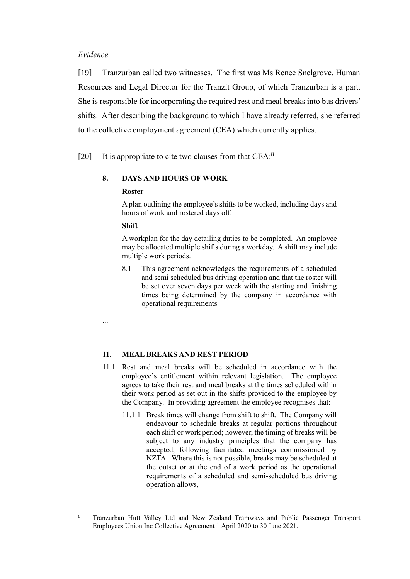### *Evidence*

[19] Tranzurban called two witnesses. The first was Ms Renee Snelgrove, Human Resources and Legal Director for the Tranzit Group, of which Tranzurban is a part. She is responsible for incorporating the required rest and meal breaks into bus drivers' shifts. After describing the background to which I have already referred, she referred to the collective employment agreement (CEA) which currently applies.

[20] It is appropriate to cite two clauses from that CEA:<sup>8</sup>

# **8. DAYS AND HOURS OF WORK**

### **Roster**

A plan outlining the employee's shifts to be worked, including days and hours of work and rostered days off.

### **Shift**

A workplan for the day detailing duties to be completed. An employee may be allocated multiple shifts during a workday. A shift may include multiple work periods.

8.1 This agreement acknowledges the requirements of a scheduled and semi scheduled bus driving operation and that the roster will be set over seven days per week with the starting and finishing times being determined by the company in accordance with operational requirements

...

### **11. MEAL BREAKS AND REST PERIOD**

- 11.1 Rest and meal breaks will be scheduled in accordance with the employee's entitlement within relevant legislation. The employee agrees to take their rest and meal breaks at the times scheduled within their work period as set out in the shifts provided to the employee by the Company. In providing agreement the employee recognises that:
	- 11.1.1 Break times will change from shift to shift. The Company will endeavour to schedule breaks at regular portions throughout each shift or work period; however, the timing of breaks will be subject to any industry principles that the company has accepted, following facilitated meetings commissioned by NZTA. Where this is not possible, breaks may be scheduled at the outset or at the end of a work period as the operational requirements of a scheduled and semi-scheduled bus driving operation allows,

<sup>8</sup> Tranzurban Hutt Valley Ltd and New Zealand Tramways and Public Passenger Transport Employees Union Inc Collective Agreement 1 April 2020 to 30 June 2021.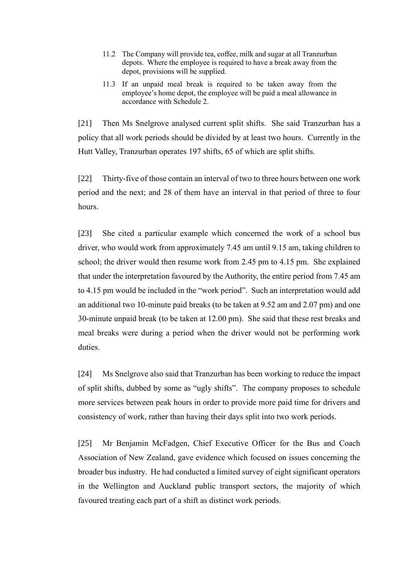- 11.2 The Company will provide tea, coffee, milk and sugar at all Tranzurban depots. Where the employee is required to have a break away from the depot, provisions will be supplied.
- 11.3 If an unpaid meal break is required to be taken away from the employee's home depot, the employee will be paid a meal allowance in accordance with Schedule 2.

[21] Then Ms Snelgrove analysed current split shifts. She said Tranzurban has a policy that all work periods should be divided by at least two hours. Currently in the Hutt Valley, Tranzurban operates 197 shifts, 65 of which are split shifts.

[22] Thirty-five of those contain an interval of two to three hours between one work period and the next; and 28 of them have an interval in that period of three to four hours.

[23] She cited a particular example which concerned the work of a school bus driver, who would work from approximately 7.45 am until 9.15 am, taking children to school; the driver would then resume work from 2.45 pm to 4.15 pm. She explained that under the interpretation favoured by the Authority, the entire period from 7.45 am to 4.15 pm would be included in the "work period". Such an interpretation would add an additional two 10-minute paid breaks (to be taken at 9.52 am and 2.07 pm) and one 30-minute unpaid break (to be taken at 12.00 pm). She said that these rest breaks and meal breaks were during a period when the driver would not be performing work duties.

[24] Ms Snelgrove also said that Tranzurban has been working to reduce the impact of split shifts, dubbed by some as "ugly shifts". The company proposes to schedule more services between peak hours in order to provide more paid time for drivers and consistency of work, rather than having their days split into two work periods.

[25] Mr Benjamin McFadgen, Chief Executive Officer for the Bus and Coach Association of New Zealand, gave evidence which focused on issues concerning the broader bus industry. He had conducted a limited survey of eight significant operators in the Wellington and Auckland public transport sectors, the majority of which favoured treating each part of a shift as distinct work periods.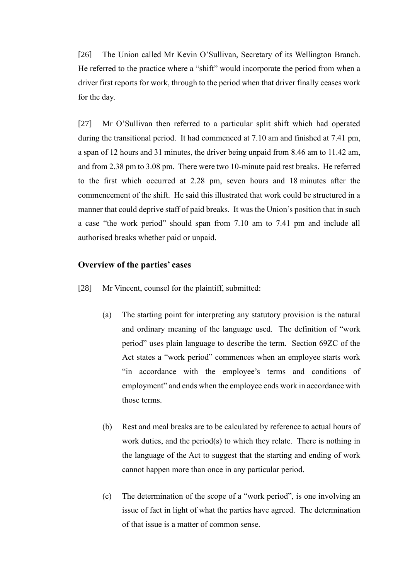[26] The Union called Mr Kevin O'Sullivan, Secretary of its Wellington Branch. He referred to the practice where a "shift" would incorporate the period from when a driver first reports for work, through to the period when that driver finally ceases work for the day.

[27] Mr O'Sullivan then referred to a particular split shift which had operated during the transitional period. It had commenced at 7.10 am and finished at 7.41 pm, a span of 12 hours and 31 minutes, the driver being unpaid from 8.46 am to 11.42 am, and from 2.38 pm to 3.08 pm. There were two 10-minute paid rest breaks. He referred to the first which occurred at 2.28 pm, seven hours and 18 minutes after the commencement of the shift. He said this illustrated that work could be structured in a manner that could deprive staff of paid breaks. It was the Union's position that in such a case "the work period" should span from 7.10 am to 7.41 pm and include all authorised breaks whether paid or unpaid.

## **Overview of the parties' cases**

- [28] Mr Vincent, counsel for the plaintiff, submitted:
	- (a) The starting point for interpreting any statutory provision is the natural and ordinary meaning of the language used. The definition of "work period" uses plain language to describe the term. Section 69ZC of the Act states a "work period" commences when an employee starts work "in accordance with the employee's terms and conditions of employment" and ends when the employee ends work in accordance with those terms.
	- (b) Rest and meal breaks are to be calculated by reference to actual hours of work duties, and the period(s) to which they relate. There is nothing in the language of the Act to suggest that the starting and ending of work cannot happen more than once in any particular period.
	- (c) The determination of the scope of a "work period", is one involving an issue of fact in light of what the parties have agreed. The determination of that issue is a matter of common sense.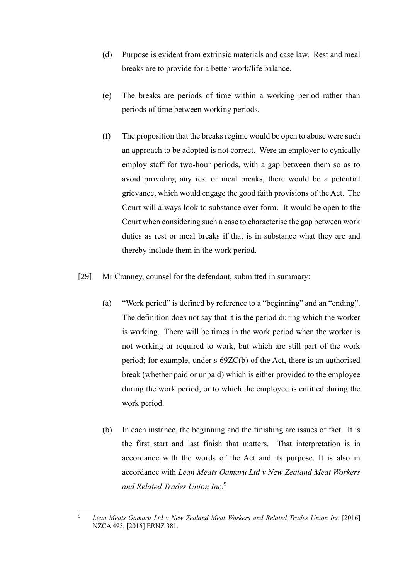- (d) Purpose is evident from extrinsic materials and case law. Rest and meal breaks are to provide for a better work/life balance.
- (e) The breaks are periods of time within a working period rather than periods of time between working periods.
- (f) The proposition that the breaks regime would be open to abuse were such an approach to be adopted is not correct. Were an employer to cynically employ staff for two-hour periods, with a gap between them so as to avoid providing any rest or meal breaks, there would be a potential grievance, which would engage the good faith provisions of the Act. The Court will always look to substance over form. It would be open to the Court when considering such a case to characterise the gap between work duties as rest or meal breaks if that is in substance what they are and thereby include them in the work period.
- [29] Mr Cranney, counsel for the defendant, submitted in summary:
	- (a) "Work period" is defined by reference to a "beginning" and an "ending". The definition does not say that it is the period during which the worker is working. There will be times in the work period when the worker is not working or required to work, but which are still part of the work period; for example, under s 69ZC(b) of the Act, there is an authorised break (whether paid or unpaid) which is either provided to the employee during the work period, or to which the employee is entitled during the work period.
	- (b) In each instance, the beginning and the finishing are issues of fact. It is the first start and last finish that matters. That interpretation is in accordance with the words of the Act and its purpose. It is also in accordance with *Lean Meats Oamaru Ltd v New Zealand Meat Workers and Related Trades Union Inc*. 9

<sup>9</sup> *Lean Meats Oamaru Ltd v New Zealand Meat Workers and Related Trades Union Inc* [2016] NZCA 495, [2016] ERNZ 381.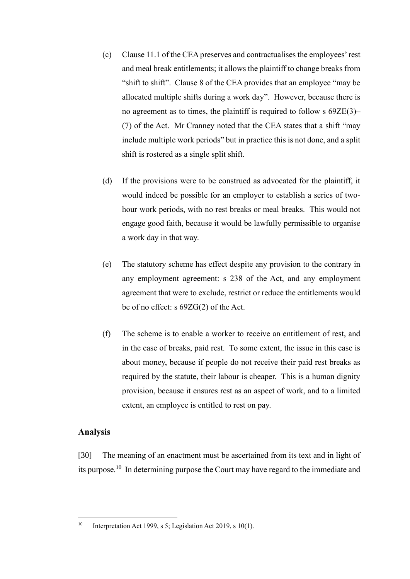- (c) Clause 11.1 of the CEA preserves and contractualises the employees' rest and meal break entitlements; it allows the plaintiff to change breaks from "shift to shift". Clause 8 of the CEA provides that an employee "may be allocated multiple shifts during a work day". However, because there is no agreement as to times, the plaintiff is required to follow s 69ZE(3)– (7) of the Act. Mr Cranney noted that the CEA states that a shift "may include multiple work periods" but in practice this is not done, and a split shift is rostered as a single split shift.
- (d) If the provisions were to be construed as advocated for the plaintiff, it would indeed be possible for an employer to establish a series of twohour work periods, with no rest breaks or meal breaks. This would not engage good faith, because it would be lawfully permissible to organise a work day in that way.
- (e) The statutory scheme has effect despite any provision to the contrary in any employment agreement: s 238 of the Act, and any employment agreement that were to exclude, restrict or reduce the entitlements would be of no effect: s 69ZG(2) of the Act.
- (f) The scheme is to enable a worker to receive an entitlement of rest, and in the case of breaks, paid rest. To some extent, the issue in this case is about money, because if people do not receive their paid rest breaks as required by the statute, their labour is cheaper. This is a human dignity provision, because it ensures rest as an aspect of work, and to a limited extent, an employee is entitled to rest on pay.

# **Analysis**

[30] The meaning of an enactment must be ascertained from its text and in light of its purpose.<sup>10</sup> In determining purpose the Court may have regard to the immediate and

<sup>&</sup>lt;sup>10</sup> Interpretation Act 1999, s 5; Legislation Act 2019, s 10(1).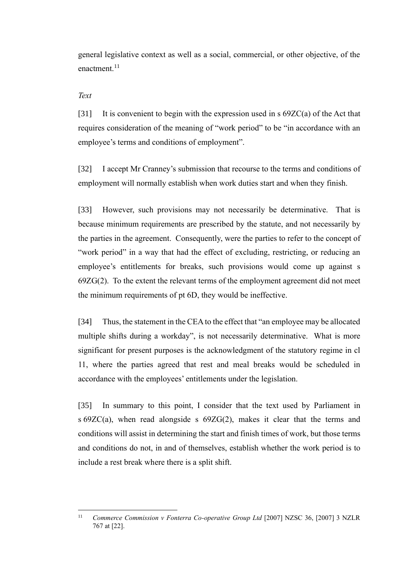general legislative context as well as a social, commercial, or other objective, of the enactment.<sup>11</sup>

## *Text*

[31] It is convenient to begin with the expression used in  $s$  69ZC(a) of the Act that requires consideration of the meaning of "work period" to be "in accordance with an employee's terms and conditions of employment".

[32] I accept Mr Cranney's submission that recourse to the terms and conditions of employment will normally establish when work duties start and when they finish.

[33] However, such provisions may not necessarily be determinative. That is because minimum requirements are prescribed by the statute, and not necessarily by the parties in the agreement. Consequently, were the parties to refer to the concept of "work period" in a way that had the effect of excluding, restricting, or reducing an employee's entitlements for breaks, such provisions would come up against s 69ZG(2). To the extent the relevant terms of the employment agreement did not meet the minimum requirements of pt 6D, they would be ineffective.

[34] Thus, the statement in the CEA to the effect that "an employee may be allocated multiple shifts during a workday", is not necessarily determinative. What is more significant for present purposes is the acknowledgment of the statutory regime in cl 11, where the parties agreed that rest and meal breaks would be scheduled in accordance with the employees' entitlements under the legislation.

[35] In summary to this point, I consider that the text used by Parliament in s 69ZC(a), when read alongside s 69ZG(2), makes it clear that the terms and conditions will assist in determining the start and finish times of work, but those terms and conditions do not, in and of themselves, establish whether the work period is to include a rest break where there is a split shift.

<sup>&</sup>lt;sup>11</sup> *Commerce Commission v Fonterra Co-operative Group Ltd* [2007] NZSC 36, [2007] 3 NZLR 767 at [22].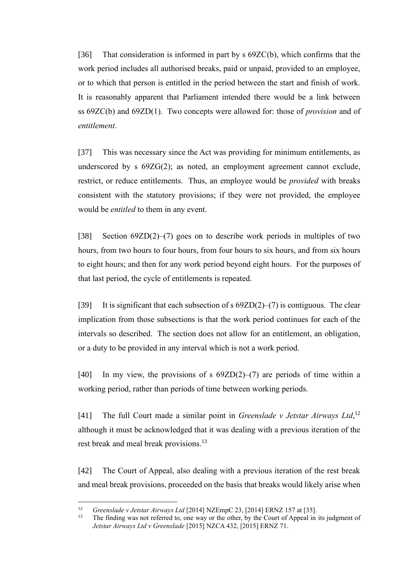[36] That consideration is informed in part by s 69ZC(b), which confirms that the work period includes all authorised breaks, paid or unpaid, provided to an employee, or to which that person is entitled in the period between the start and finish of work. It is reasonably apparent that Parliament intended there would be a link between ss 69ZC(b) and 69ZD(1). Two concepts were allowed for: those of *provision* and of *entitlement*.

[37] This was necessary since the Act was providing for minimum entitlements, as underscored by s 69ZG(2); as noted, an employment agreement cannot exclude, restrict, or reduce entitlements. Thus, an employee would be *provided* with breaks consistent with the statutory provisions; if they were not provided, the employee would be *entitled* to them in any event.

[38] Section 69ZD(2)–(7) goes on to describe work periods in multiples of two hours, from two hours to four hours, from four hours to six hours, and from six hours to eight hours; and then for any work period beyond eight hours. For the purposes of that last period, the cycle of entitlements is repeated.

[39] It is significant that each subsection of s  $69ZD(2)-(7)$  is contiguous. The clear implication from those subsections is that the work period continues for each of the intervals so described. The section does not allow for an entitlement, an obligation, or a duty to be provided in any interval which is not a work period.

[40] In my view, the provisions of s  $69ZD(2)–(7)$  are periods of time within a working period, rather than periods of time between working periods.

[41] The full Court made a similar point in *Greenslade v Jetstar Airways Ltd*,<sup>12</sup> although it must be acknowledged that it was dealing with a previous iteration of the rest break and meal break provisions.<sup>13</sup>

[42] The Court of Appeal, also dealing with a previous iteration of the rest break and meal break provisions, proceeded on the basis that breaks would likely arise when

<sup>12</sup> *Greenslade v Jetstar Airways Ltd* [2014] NZEmpC 23, [2014] ERNZ 157 at [35].

The finding was not referred to, one way or the other, by the Court of Appeal in its judgment of *Jetstar Airways Ltd v Greenslade* [2015] NZCA 432, [2015] ERNZ 71.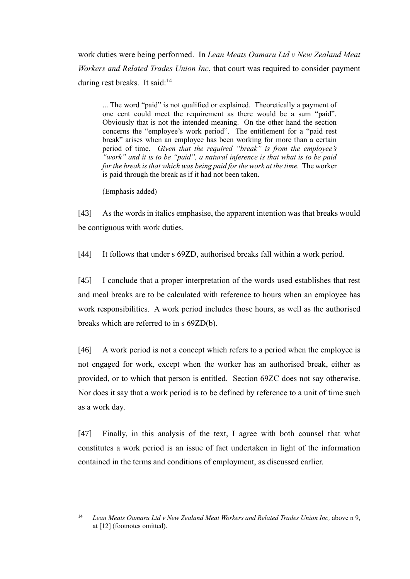work duties were being performed. In *Lean Meats Oamaru Ltd v New Zealand Meat Workers and Related Trades Union Inc*, that court was required to consider payment during rest breaks. It said: $14$ 

... The word "paid" is not qualified or explained. Theoretically a payment of one cent could meet the requirement as there would be a sum "paid". Obviously that is not the intended meaning. On the other hand the section concerns the "employee's work period". The entitlement for a "paid rest break" arises when an employee has been working for more than a certain period of time. *Given that the required "break" is from the employee's "work" and it is to be "paid", a natural inference is that what is to be paid for the break is that which was being paid for the work at the time.* The worker is paid through the break as if it had not been taken.

(Emphasis added)

[43] As the words in italics emphasise, the apparent intention was that breaks would be contiguous with work duties.

[44] It follows that under s 69ZD, authorised breaks fall within a work period.

[45] I conclude that a proper interpretation of the words used establishes that rest and meal breaks are to be calculated with reference to hours when an employee has work responsibilities. A work period includes those hours, as well as the authorised breaks which are referred to in s 69ZD(b).

[46] A work period is not a concept which refers to a period when the employee is not engaged for work, except when the worker has an authorised break, either as provided, or to which that person is entitled. Section 69ZC does not say otherwise. Nor does it say that a work period is to be defined by reference to a unit of time such as a work day.

[47] Finally, in this analysis of the text, I agree with both counsel that what constitutes a work period is an issue of fact undertaken in light of the information contained in the terms and conditions of employment, as discussed earlier.

<sup>&</sup>lt;sup>14</sup> *Lean Meats Oamaru Ltd v New Zealand Meat Workers and Related Trades Union Inc, above n 9,* at [12] (footnotes omitted).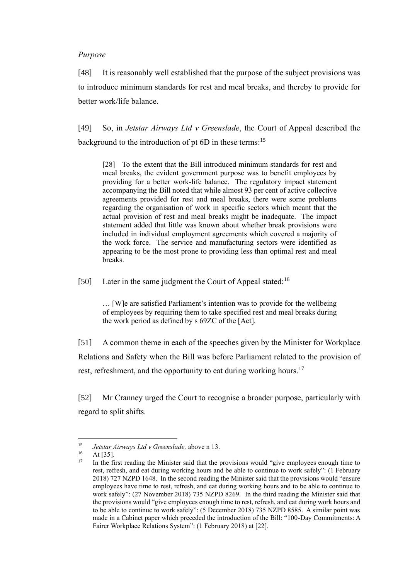### *Purpose*

[48] It is reasonably well established that the purpose of the subject provisions was to introduce minimum standards for rest and meal breaks, and thereby to provide for better work/life balance.

[49] So, in *Jetstar Airways Ltd v Greenslade*, the Court of Appeal described the background to the introduction of pt 6D in these terms:<sup>15</sup>

[28] To the extent that the Bill introduced minimum standards for rest and meal breaks, the evident government purpose was to benefit employees by providing for a better work-life balance. The regulatory impact statement accompanying the Bill noted that while almost 93 per cent of active collective agreements provided for rest and meal breaks, there were some problems regarding the organisation of work in specific sectors which meant that the actual provision of rest and meal breaks might be inadequate. The impact statement added that little was known about whether break provisions were included in individual employment agreements which covered a majority of the work force. The service and manufacturing sectors were identified as appearing to be the most prone to providing less than optimal rest and meal breaks.

[50] Later in the same judgment the Court of Appeal stated:<sup>16</sup>

… [W]e are satisfied Parliament's intention was to provide for the wellbeing of employees by requiring them to take specified rest and meal breaks during the work period as defined by s 69ZC of the [Act].

[51] A common theme in each of the speeches given by the Minister for Workplace Relations and Safety when the Bill was before Parliament related to the provision of rest, refreshment, and the opportunity to eat during working hours.<sup>17</sup>

[52] Mr Cranney urged the Court to recognise a broader purpose, particularly with regard to split shifts.

<sup>15</sup> *Jetstar Airways Ltd v Greenslade,* above n 13.

 $16$  At [35].<br> $17$  In the fi

<sup>17</sup> In the first reading the Minister said that the provisions would "give employees enough time to rest, refresh, and eat during working hours and be able to continue to work safely": (1 February 2018) 727 NZPD 1648. In the second reading the Minister said that the provisions would "ensure employees have time to rest, refresh, and eat during working hours and to be able to continue to work safely": (27 November 2018) 735 NZPD 8269. In the third reading the Minister said that the provisions would "give employees enough time to rest, refresh, and eat during work hours and to be able to continue to work safely": (5 December 2018) 735 NZPD 8585. A similar point was made in a Cabinet paper which preceded the introduction of the Bill: "100-Day Commitments: A Fairer Workplace Relations System": (1 February 2018) at [22].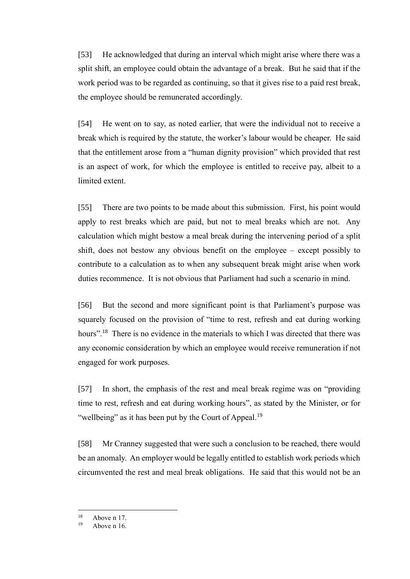[53] He acknowledged that during an interval which might arise where there was a split shift, an employee could obtain the advantage of a break. But he said that if the work period was to be regarded as continuing, so that it gives rise to a paid rest break, the employee should be remunerated accordingly.

[54] He went on to say, as noted earlier, that were the individual not to receive a break which is required by the statute, the worker's labour would be cheaper. He said that the entitlement arose from a "human dignity provision" which provided that rest is an aspect of work, for which the employee is entitled to receive pay, albeit to a limited extent.

[55] There are two points to be made about this submission. First, his point would apply to rest breaks which are paid, but not to meal breaks which are not. Any calculation which might bestow a meal break during the intervening period of a split shift, does not bestow any obvious benefit on the employee – except possibly to contribute to a calculation as to when any subsequent break might arise when work duties recommence. It is not obvious that Parliament had such a scenario in mind.

[56] But the second and more significant point is that Parliament's purpose was squarely focused on the provision of "time to rest, refresh and eat during working hours".<sup>18</sup> There is no evidence in the materials to which I was directed that there was any economic consideration by which an employee would receive remuneration if not engaged for work purposes.

[57] In short, the emphasis of the rest and meal break regime was on "providing time to rest, refresh and eat during working hours", as stated by the Minister, or for "wellbeing" as it has been put by the Court of Appeal.<sup>19</sup>

[58] Mr Cranney suggested that were such a conclusion to be reached, there would be an anomaly. An employer would be legally entitled to establish work periods which circumvented the rest and meal break obligations. He said that this would not be an

 $18$  Above n 17.

Above n 16.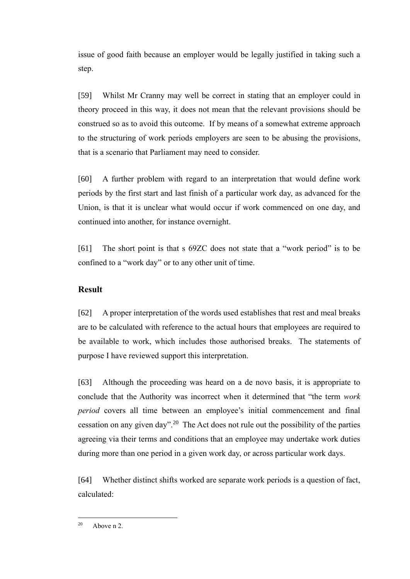issue of good faith because an employer would be legally justified in taking such a step.

[59] Whilst Mr Cranny may well be correct in stating that an employer could in theory proceed in this way, it does not mean that the relevant provisions should be construed so as to avoid this outcome. If by means of a somewhat extreme approach to the structuring of work periods employers are seen to be abusing the provisions, that is a scenario that Parliament may need to consider.

[60] A further problem with regard to an interpretation that would define work periods by the first start and last finish of a particular work day, as advanced for the Union, is that it is unclear what would occur if work commenced on one day, and continued into another, for instance overnight.

[61] The short point is that s 69ZC does not state that a "work period" is to be confined to a "work day" or to any other unit of time.

# **Result**

[62] A proper interpretation of the words used establishes that rest and meal breaks are to be calculated with reference to the actual hours that employees are required to be available to work, which includes those authorised breaks. The statements of purpose I have reviewed support this interpretation.

[63] Although the proceeding was heard on a de novo basis, it is appropriate to conclude that the Authority was incorrect when it determined that "the term *work period* covers all time between an employee's initial commencement and final cessation on any given day".<sup>20</sup> The Act does not rule out the possibility of the parties agreeing via their terms and conditions that an employee may undertake work duties during more than one period in a given work day, or across particular work days.

[64] Whether distinct shifts worked are separate work periods is a question of fact, calculated:

 $^{20}$  Above n 2.